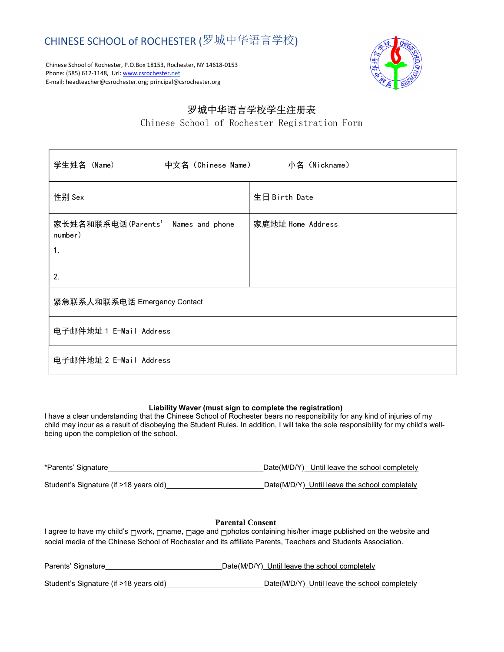Chinese School of Rochester, P.O.Box 18153, Rochester, NY 14618-0153 Phone: (585) 612-1148, Url: www.csrochester.net E-mail: headteacher@csrochester.org; principal@csrochester.org



# 罗城中华语言学校学生注册表

Chinese School of Rochester Registration Form

| 中文名 (Chinese Name)      小名 (Nickname)<br>学生姓名 (Name) |                   |  |
|------------------------------------------------------|-------------------|--|
| 性别 Sex                                               | 生日 Birth Date     |  |
| 家长姓名和联系电话(Parents' Names and phone<br>number)        | 家庭地址 Home Address |  |
| $\mathbf 1$ .<br>2.                                  |                   |  |
| 紧急联系人和联系电话 Emergency Contact                         |                   |  |
| 电子邮件地址 1 E-Mail Address                              |                   |  |
| 电子邮件地址 2 E-Mail Address                              |                   |  |

### Liability Waver (must sign to complete the registration)

I have a clear understanding that the Chinese School of Rochester bears no responsibility for any kind of injuries of my child may incur as a result of disobeying the Student Rules. In addition, I will take the sole responsibility for my child's wellbeing upon the completion of the school.

| *Parents' Signature_                   | Date(M/D/Y) Until leave the school completely |  |
|----------------------------------------|-----------------------------------------------|--|
| Student's Signature (if >18 years old) | Date(M/D/Y) Until leave the school completely |  |

## Parental Consent

I agree to have my child's □work, □name, □age and □photos containing his/her image published on the website and social media of the Chinese School of Rochester and its affiliate Parents, Teachers and Students Association.

| Parents' Signature                     | Date(M/D/Y) Until leave the school completely |
|----------------------------------------|-----------------------------------------------|
| Student's Signature (if >18 years old) | Date(M/D/Y) Until leave the school completely |